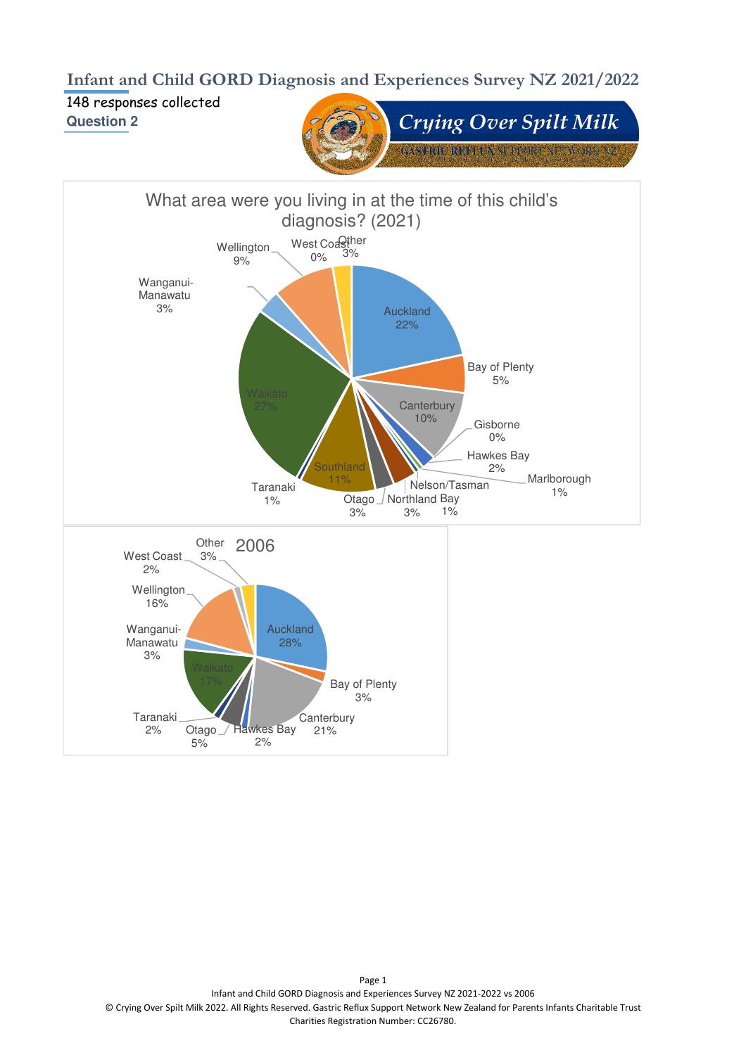**Infant and Child GORD Diagnosis and Experiences Survey NZ 2021/2022**

148 responses collected **Question 2**



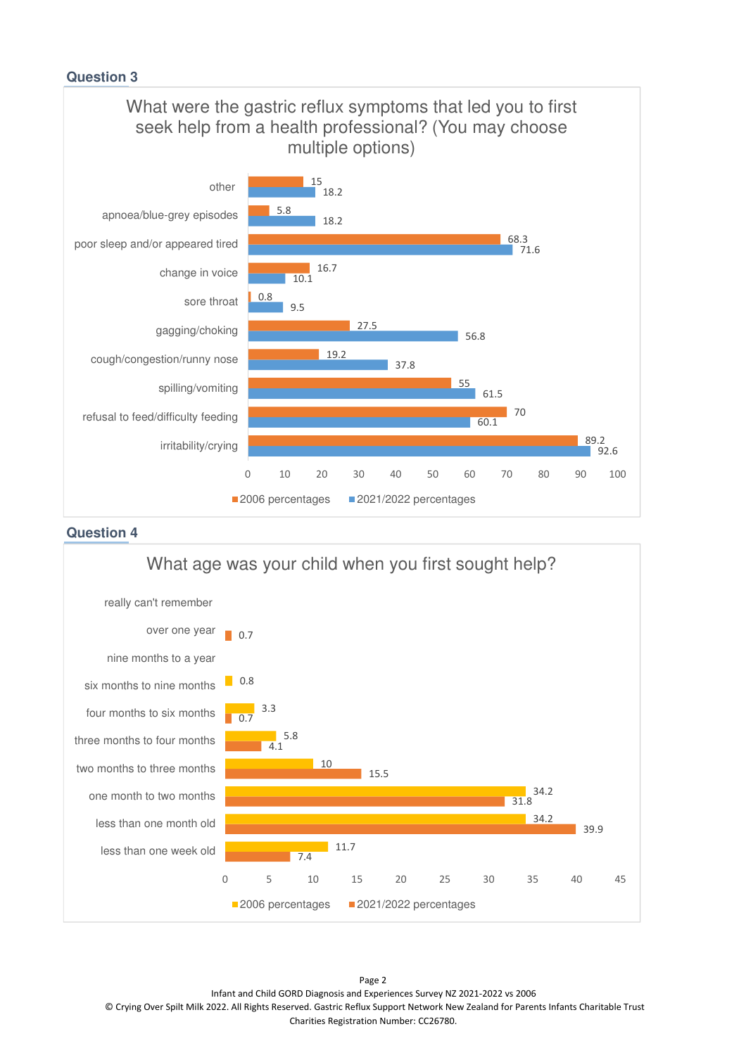

#### **Question 4**



Page 2 Infant and Child GORD Diagnosis and Experiences Survey NZ 2021-2022 vs 2006 © Crying Over Spilt Milk 2022. All Rights Reserved. Gastric Reflux Support Network New Zealand for Parents Infants Charitable Trust Charities Registration Number: CC26780.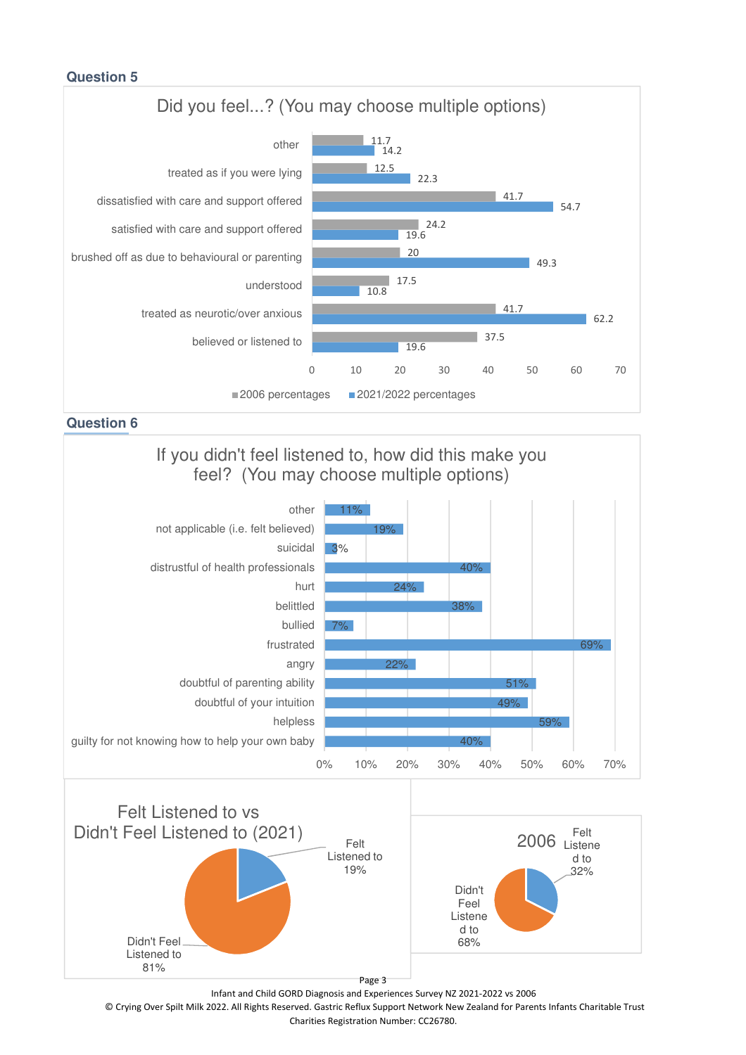

**Question 6**

# If you didn't feel listened to, how did this make you feel? (You may choose multiple options)





Infant and Child GORD Diagnosis and Experiences Survey NZ 2021-2022 vs 2006

© Crying Over Spilt Milk 2022. All Rights Reserved. Gastric Reflux Support Network New Zealand for Parents Infants Charitable Trust Charities Registration Number: CC26780.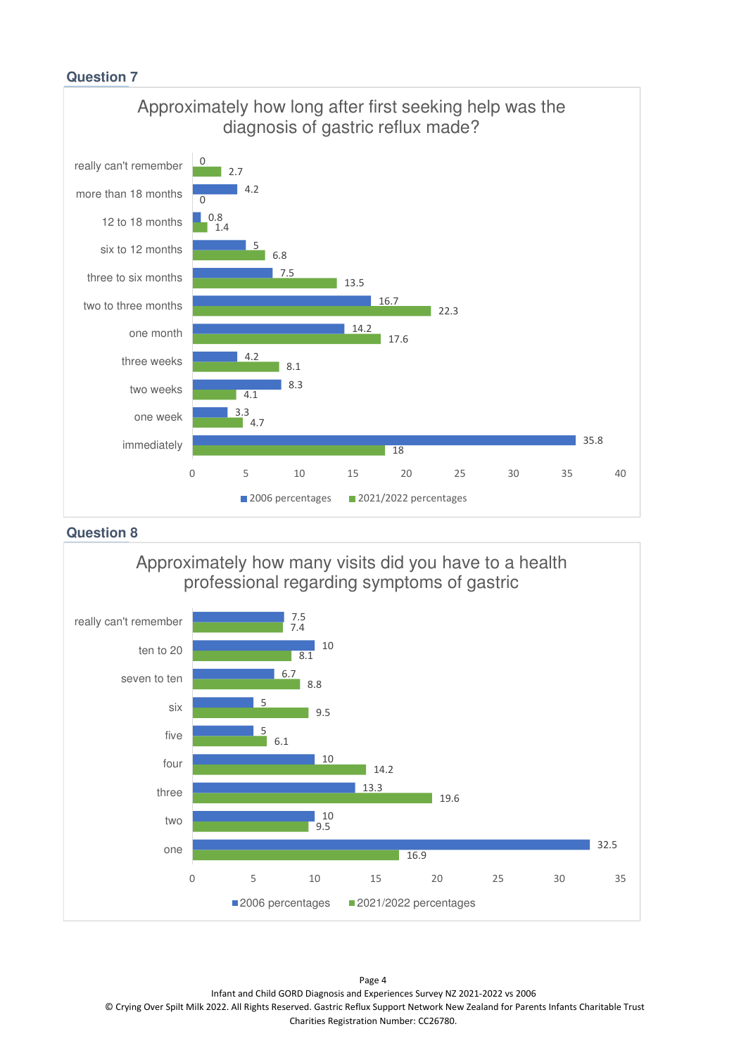

**Question 8**



Page 4 Infant and Child GORD Diagnosis and Experiences Survey NZ 2021-2022 vs 2006 © Crying Over Spilt Milk 2022. All Rights Reserved. Gastric Reflux Support Network New Zealand for Parents Infants Charitable Trust Charities Registration Number: CC26780.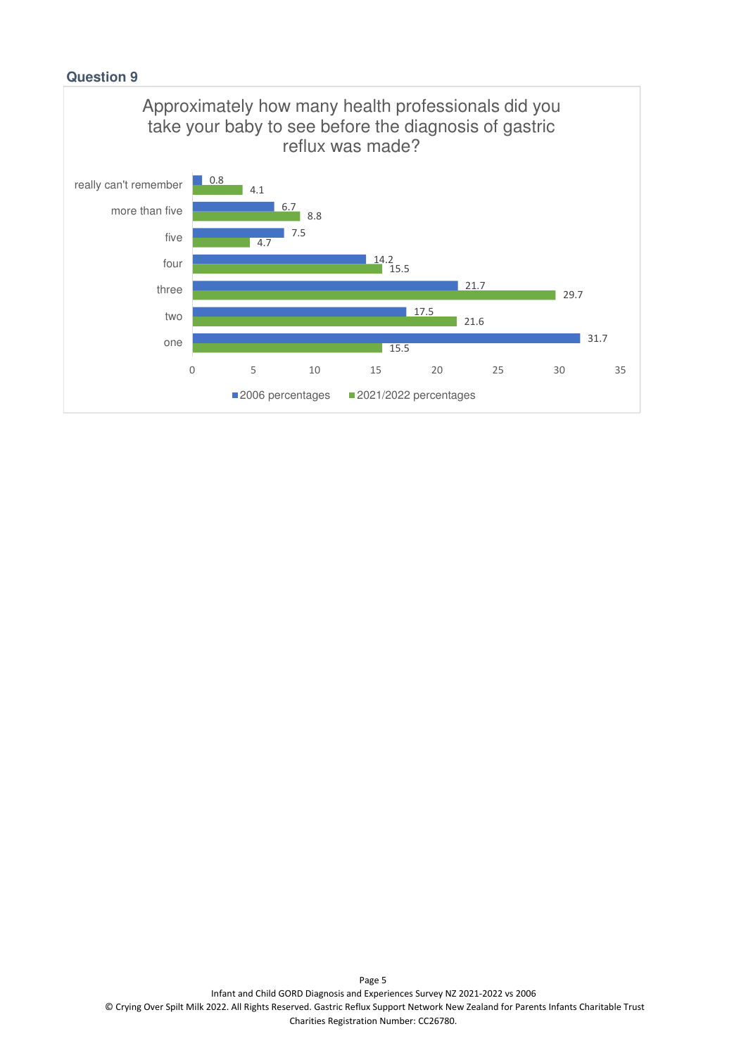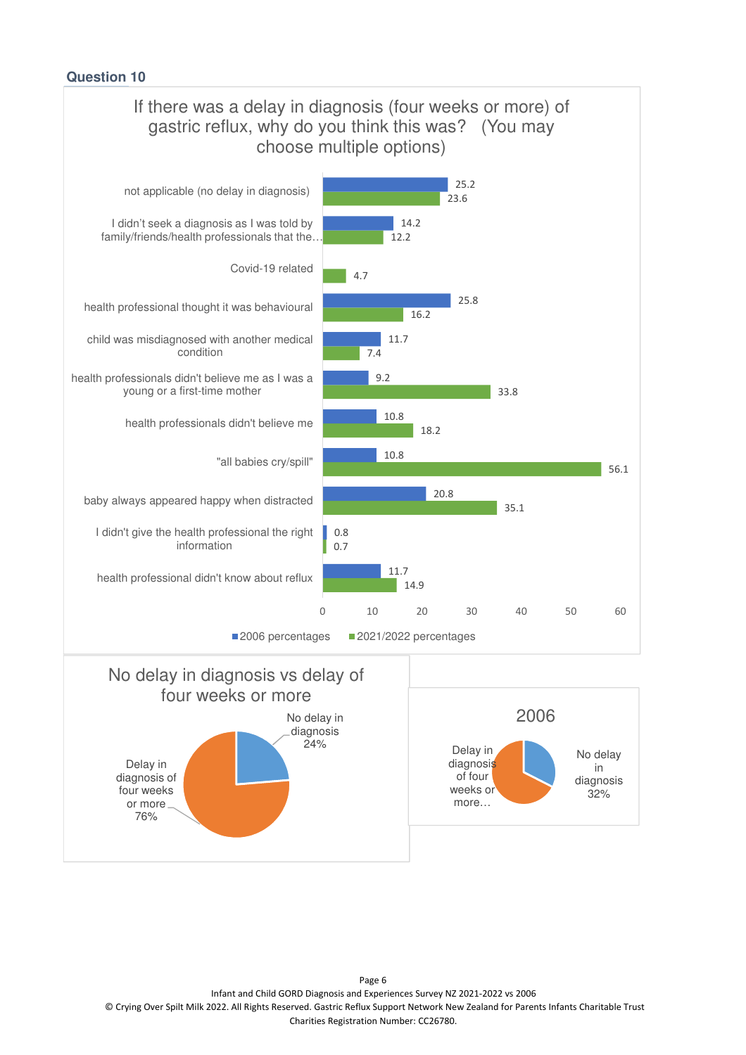

Page 6 Infant and Child GORD Diagnosis and Experiences Survey NZ 2021-2022 vs 2006 © Crying Over Spilt Milk 2022. All Rights Reserved. Gastric Reflux Support Network New Zealand for Parents Infants Charitable Trust Charities Registration Number: CC26780.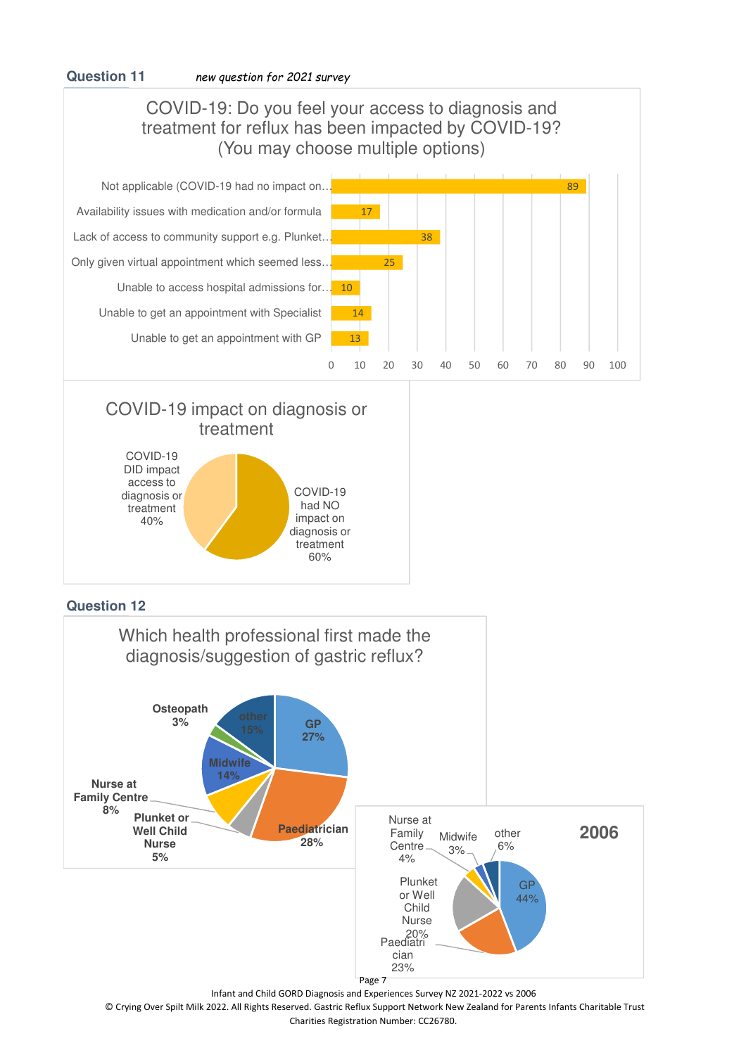## COVID-19: Do you feel your access to diagnosis and treatment for reflux has been impacted by COVID-19? (You may choose multiple options)



# COVID-19 impact on diagnosis or treatment



### **Question 12**



© Crying Over Spilt Milk 2022. All Rights Reserved. Gastric Reflux Support Network New Zealand for Parents Infants Charitable Trust Charities Registration Number: CC26780.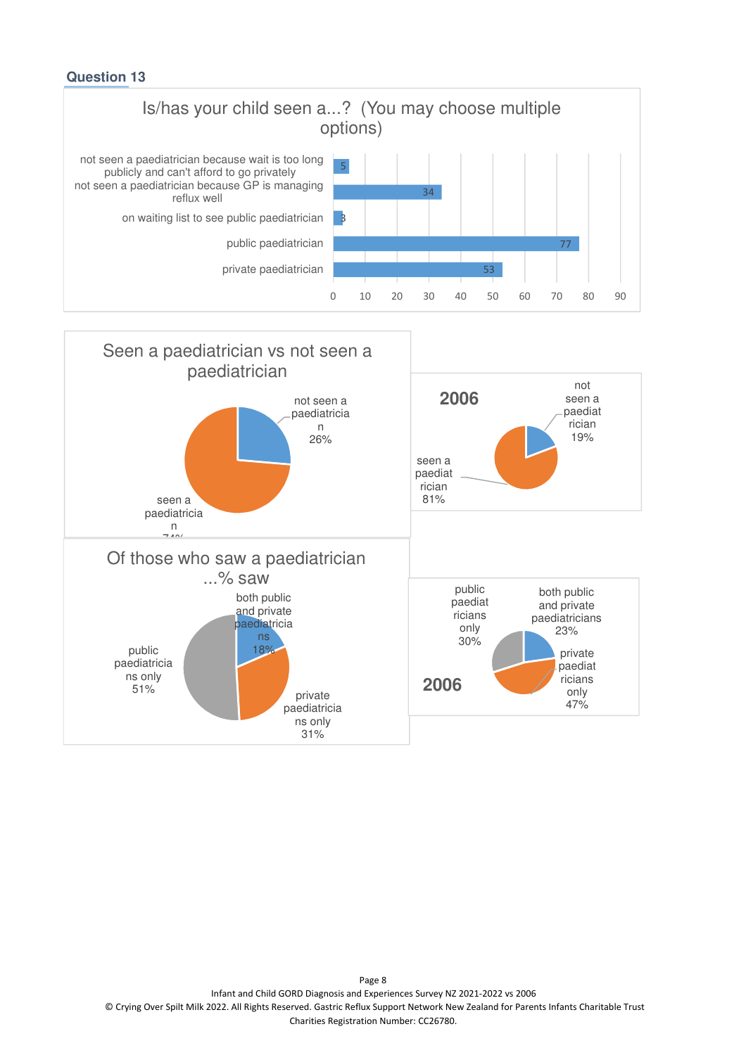



Page 8 Infant and Child GORD Diagnosis and Experiences Survey NZ 2021-2022 vs 2006 © Crying Over Spilt Milk 2022. All Rights Reserved. Gastric Reflux Support Network New Zealand for Parents Infants Charitable Trust Charities Registration Number: CC26780.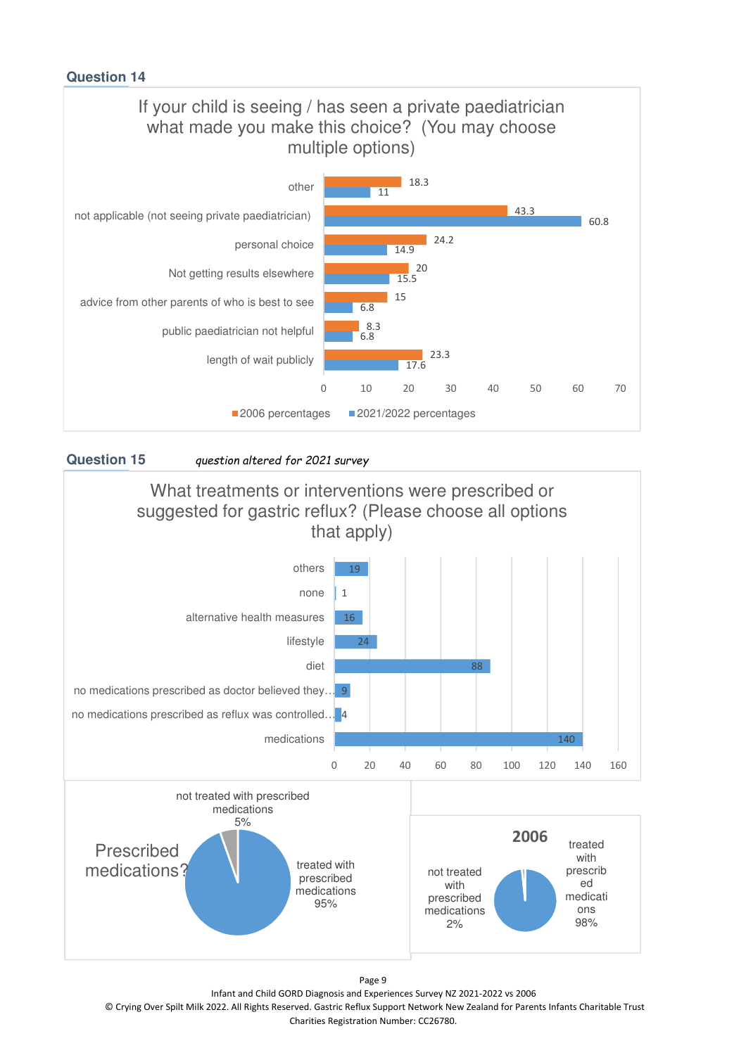



**Question 15** *question altered for 2021 survey*



Page 9

Infant and Child GORD Diagnosis and Experiences Survey NZ 2021-2022 vs 2006

© Crying Over Spilt Milk 2022. All Rights Reserved. Gastric Reflux Support Network New Zealand for Parents Infants Charitable Trust Charities Registration Number: CC26780.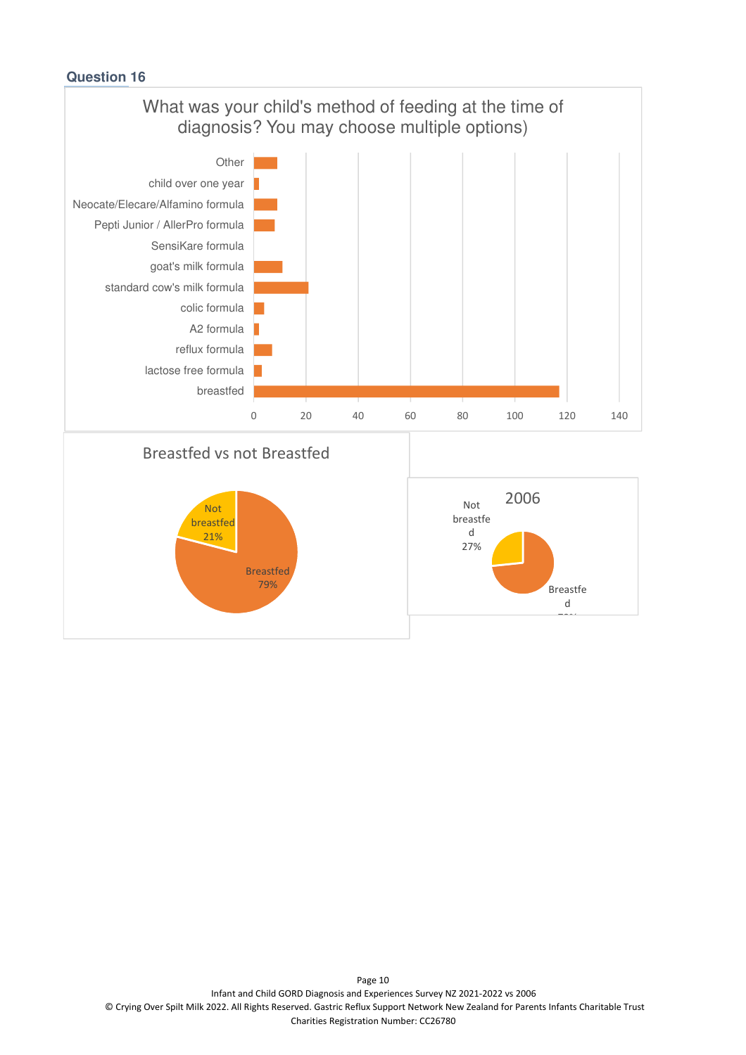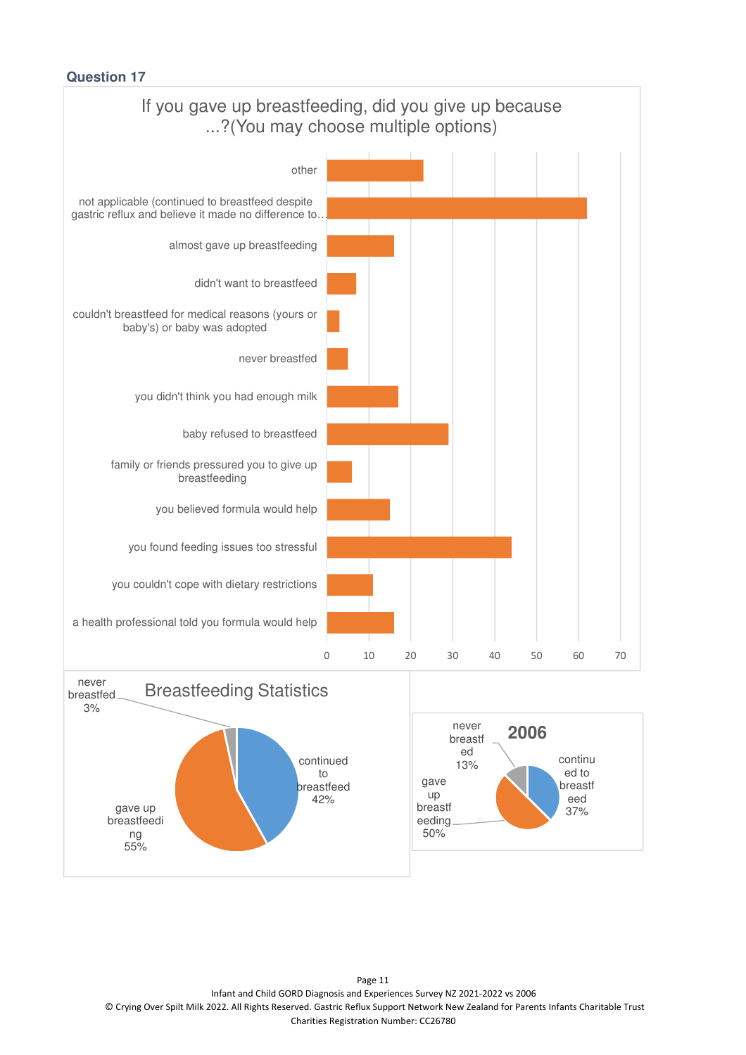

Page 11 Infant and Child GORD Diagnosis and Experiences Survey NZ 2021-2022 vs 2006 © Crying Over Spilt Milk 2022. All Rights Reserved. Gastric Reflux Support Network New Zealand for Parents Infants Charitable Trust Charities Registration Number: CC26780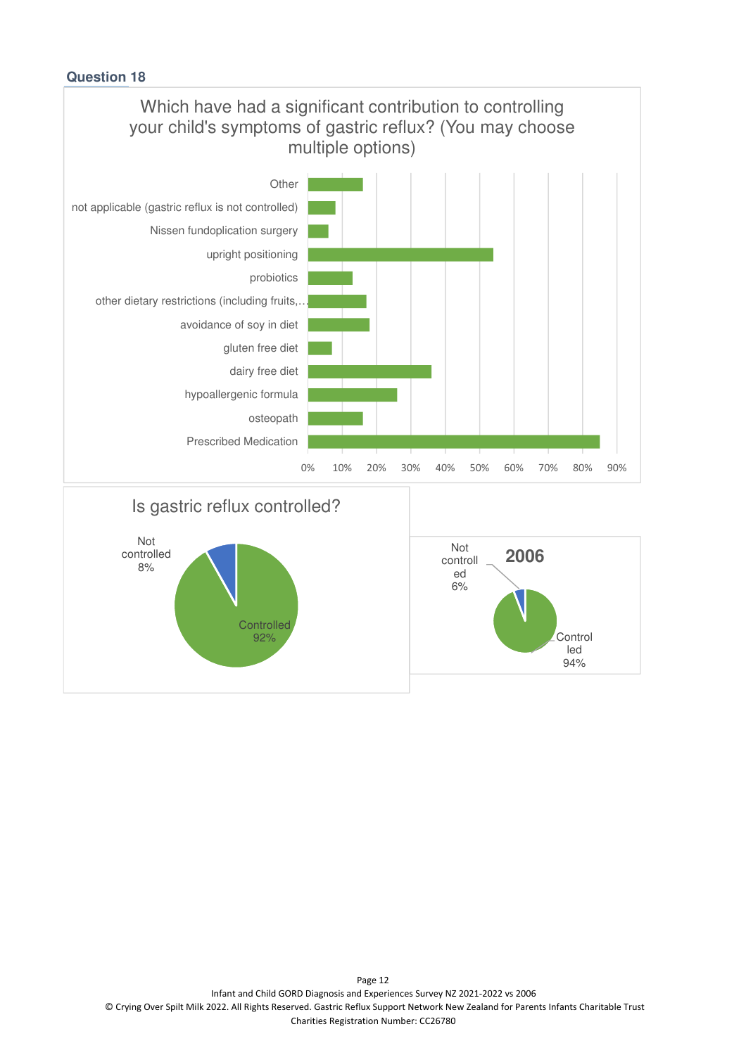

92%

**Control** led 94%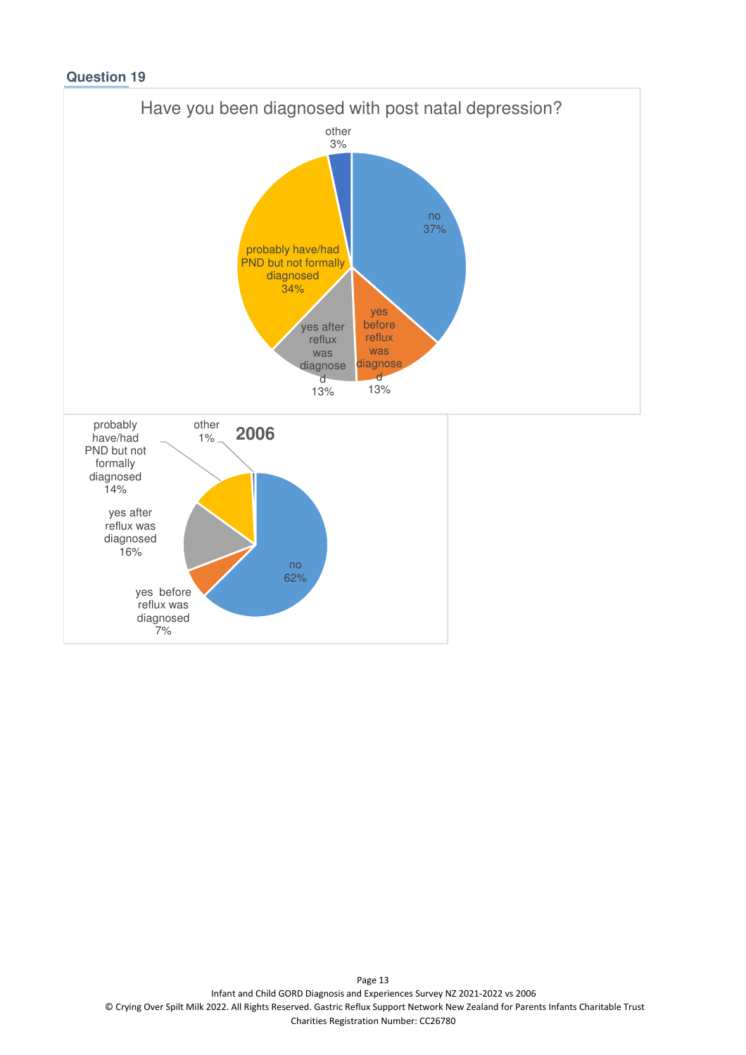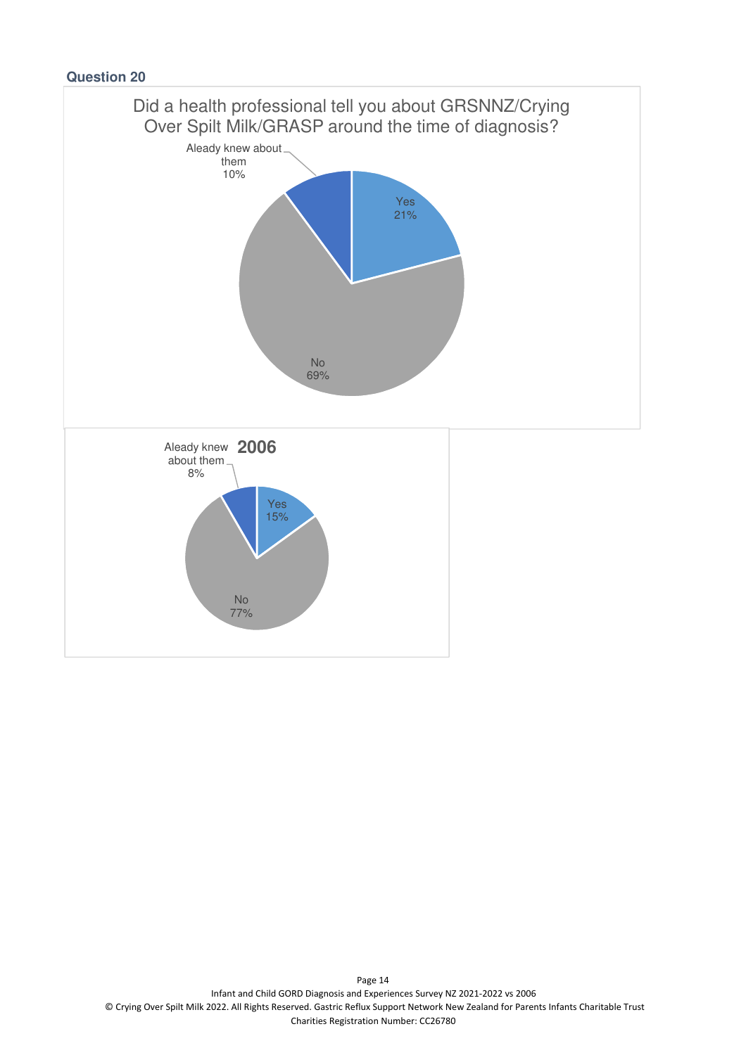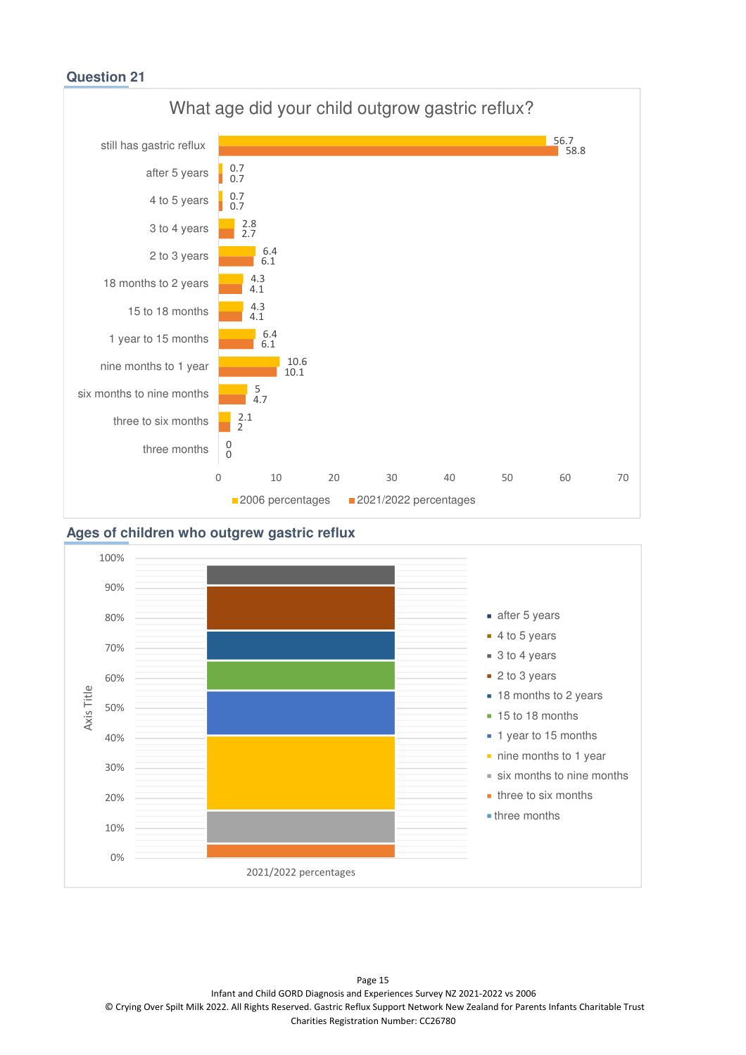

#### **Ages of children who outgrew gastric reflux**



Page 15 Infant and Child GORD Diagnosis and Experiences Survey NZ 2021-2022 vs 2006 © Crying Over Spilt Milk 2022. All Rights Reserved. Gastric Reflux Support Network New Zealand for Parents Infants Charitable Trust Charities Registration Number: CC26780